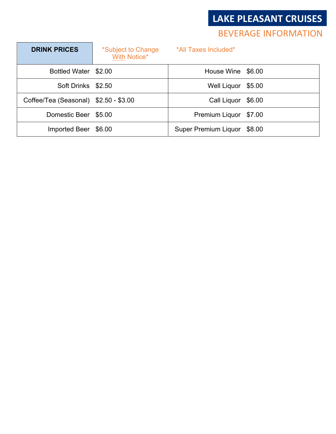### **LAKE PLEASANT CRUISES**

### **BEVERAGE INFORMATION**

| <b>DRINK PRICES</b>                   | *Subject to Change<br><b>With Notice*</b> | *All Taxes Included*  |        |
|---------------------------------------|-------------------------------------------|-----------------------|--------|
| Bottled Water \$2.00                  |                                           | House Wine \$6.00     |        |
| Soft Drinks \$2.50                    |                                           | Well Liquor           | \$5.00 |
| Coffee/Tea (Seasonal) \$2.50 - \$3.00 |                                           | Call Liquor           | \$6.00 |
| Domestic Beer \$5.00                  |                                           | Premium Liquor \$7.00 |        |
| Imported Beer                         | \$6.00                                    | Super Premium Liquor  | \$8.00 |